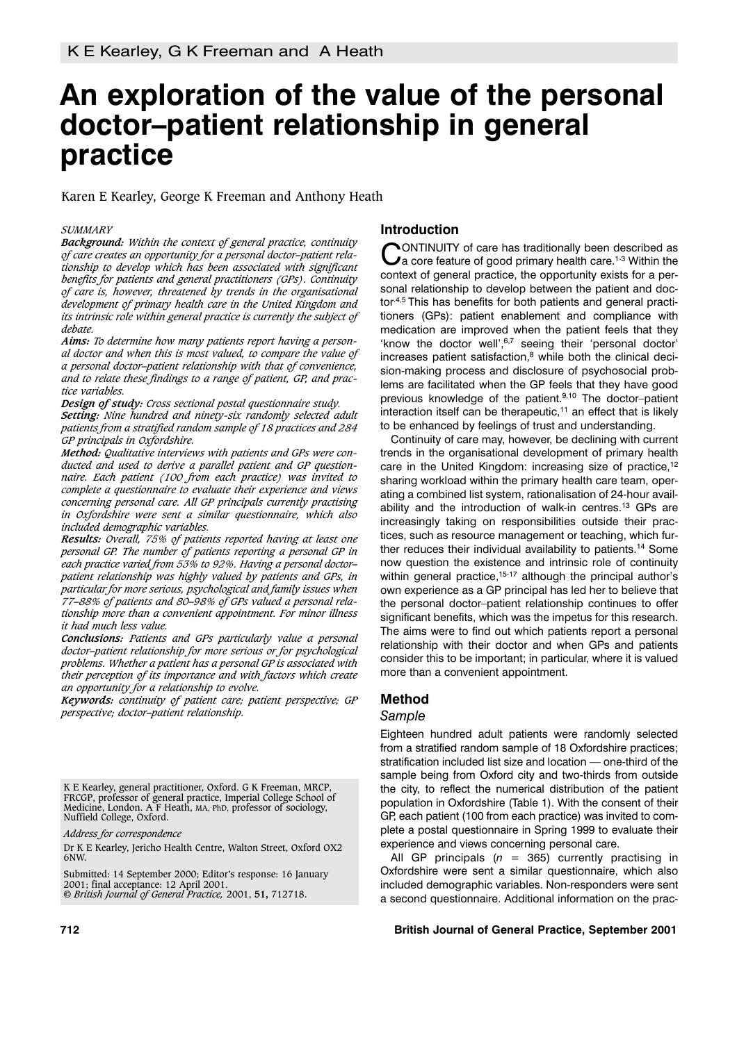# **An exploration of the value of the personal doctor–patient relationship in general practice**

Karen E Kearley, George K Freeman and Anthony Heath

#### *SUMMARY*

*Background: Within the context of general practice, continuity of care creates an opportunity for a personal doctor–patient relationship to develop which has been associated with significant benefits for patients and general practitioners (GPs). Continuity of care is, however, threatened by trends in the organisational development of primary health care in the United Kingdom and its intrinsic role within general practice is currently the subject of debate.* 

*Aims: To determine how many patients report having a personal doctor and when this is most valued, to compare the value of a personal doctor–patient relationship with that of convenience, and to relate these findings to a range of patient, GP, and practice variables.*

*Design of study: Cross sectional postal questionnaire study. Setting: Nine hundred and ninety-six randomly selected adult patients from a stratified random sample of 18 practices and 284 GP principals in Oxfordshire.*

*Method: Qualitative interviews with patients and GPs were conducted and used to derive a parallel patient and GP questionnaire. Each patient (100 from each practice) was invited to complete a questionnaire to evaluate their experience and views concerning personal care. All GP principals currently practising in Oxfordshire were sent a similar questionnaire, which also included demographic variables.*

*Results: Overall, 75% of patients reported having at least one personal GP. The number of patients reporting a personal GP in each practice varied from 53% to 92%. Having a personal doctor– patient relationship was highly valued by patients and GPs, in particular for more serious, psychological and family issues when 77–88% of patients and 80–98% of GPs valued a personal relationship more than a convenient appointment. For minor illness it had much less value.*

*Conclusions: Patients and GPs particularly value a personal doctor–patient relationship for more serious or for psychological problems. Whether a patient has a personal GP is associated with their perception of its importance and with factors which create an opportunity for a relationship to evolve.*

*Keywords: continuity of patient care; patient perspective; GP perspective; doctor–patient relationship.*

K E Kearley, general practitioner, Oxford. G K Freeman, MRCP, FRCGP, professor of general practice, Imperial College School of Medicine, London. A F Heath, MA, PhD, professor of sociology, Nuffield College, Oxford.

*Address for correspondence*

Dr K E Kearley, Jericho Health Centre, Walton Street, Oxford OX2 6NW.

Submitted: 14 September 2000; Editor's response: 16 January 2001; final acceptance: 12 April 2001. © *British Journal of General Practice,* 2001, **51,** 712718.

## **Introduction**

CONTINUITY of care has traditionally been described as  $\mathbf C$  a core feature of good primary health care.<sup>1-3</sup> Within the context of general practice, the opportunity exists for a personal relationship to develop between the patient and doctor.4,5 This has benefits for both patients and general practitioners (GPs): patient enablement and compliance with medication are improved when the patient feels that they 'know the doctor well',<sup>6,7</sup> seeing their 'personal doctor'  $increases$  patient satisfaction, $8$  while both the clinical decision-making process and disclosure of psychosocial problems are facilitated when the GP feels that they have good previous knowledge of the patient.<sup>9,10</sup> The doctor-patient interaction itself can be therapeutic, $11$  an effect that is likely to be enhanced by feelings of trust and understanding.

Continuity of care may, however, be declining with current trends in the organisational development of primary health care in the United Kingdom: increasing size of practice,<sup>12</sup> sharing workload within the primary health care team, operating a combined list system, rationalisation of 24-hour availability and the introduction of walk-in centres.<sup>13</sup> GPs are increasingly taking on responsibilities outside their practices, such as resource management or teaching, which further reduces their individual availability to patients.<sup>14</sup> Some now question the existence and intrinsic role of continuity within general practice,<sup>15-17</sup> although the principal author's own experience as a GP principal has led her to believe that the personal doctor–patient relationship continues to offer significant benefits, which was the impetus for this research. The aims were to find out which patients report a personal relationship with their doctor and when GPs and patients consider this to be important; in particular, where it is valued more than a convenient appointment.

# **Method**

#### *Sample*

Eighteen hundred adult patients were randomly selected from a stratified random sample of 18 Oxfordshire practices; stratification included list size and location — one-third of the sample being from Oxford city and two-thirds from outside the city, to reflect the numerical distribution of the patient population in Oxfordshire (Table 1). With the consent of their GP, each patient (100 from each practice) was invited to complete a postal questionnaire in Spring 1999 to evaluate their experience and views concerning personal care.

All GP principals  $(n = 365)$  currently practising in Oxfordshire were sent a similar questionnaire, which also included demographic variables. Non-responders were sent a second questionnaire. Additional information on the prac-

#### **712 British Journal of General Practice, September 2001**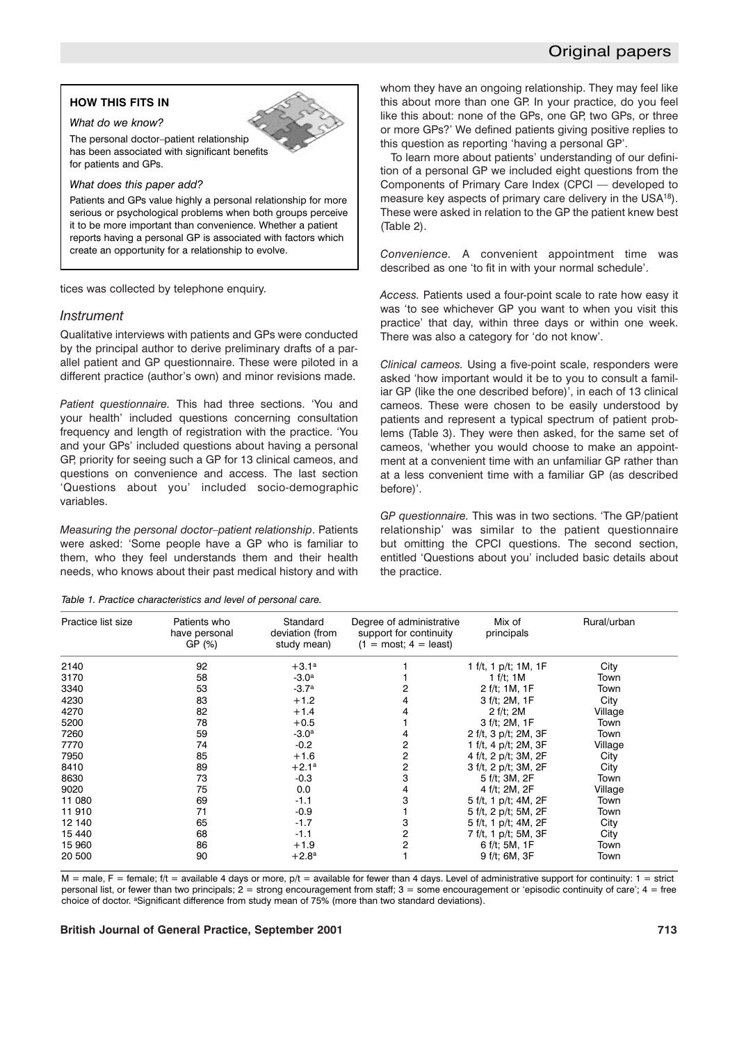# Original papers

# **HOW THIS FITS IN** *What do we know?*



The personal doctor–patient relationship has been associated with significant benefits for patients and GPs.

#### *What does this paper add?*

Patients and GPs value highly a personal relationship for more serious or psychological problems when both groups perceive it to be more important than convenience. Whether a patient reports having a personal GP is associated with factors which create an opportunity for a relationship to evolve.

tices was collected by telephone enquiry.

## *Instrument*

Qualitative interviews with patients and GPs were conducted by the principal author to derive preliminary drafts of a parallel patient and GP questionnaire. These were piloted in a different practice (author's own) and minor revisions made.

*Patient questionnaire.* This had three sections. 'You and your health' included questions concerning consultation frequency and length of registration with the practice. 'You and your GPs' included questions about having a personal GP, priority for seeing such a GP for 13 clinical cameos, and questions on convenience and access. The last section 'Questions about you' included socio-demographic variables.

*Measuring the personal doctor–patient relationship*. Patients were asked: 'Some people have a GP who is familiar to them, who they feel understands them and their health needs, who knows about their past medical history and with

|  | Table 1. Practice characteristics and level of personal care. |  |  |  |
|--|---------------------------------------------------------------|--|--|--|
|  |                                                               |  |  |  |

whom they have an ongoing relationship. They may feel like this about more than one GP. In your practice, do you feel like this about: none of the GPs, one GP, two GPs, or three or more GPs?' We defined patients giving positive replies to this question as reporting 'having a personal GP'.

To learn more about patients' understanding of our definition of a personal GP we included eight questions from the Components of Primary Care Index (CPCI — developed to measure key aspects of primary care delivery in the USA18). These were asked in relation to the GP the patient knew best (Table 2).

*Convenience.* A convenient appointment time was described as one 'to fit in with your normal schedule'.

*Access.* Patients used a four-point scale to rate how easy it was 'to see whichever GP you want to when you visit this practice' that day, within three days or within one week. There was also a category for 'do not know'.

*Clinical cameos.* Using a five-point scale, responders were asked 'how important would it be to you to consult a familiar GP (like the one described before)', in each of 13 clinical cameos. These were chosen to be easily understood by patients and represent a typical spectrum of patient problems (Table 3). They were then asked, for the same set of cameos, 'whether you would choose to make an appointment at a convenient time with an unfamiliar GP rather than at a less convenient time with a familiar GP (as described before)'.

*GP questionnaire.* This was in two sections. 'The GP/patient relationship' was similar to the patient questionnaire but omitting the CPCI questions. The second section, entitled 'Questions about you' included basic details about the practice.

| Practice list size | Patients who<br>have personal<br>GP (%) | Standard<br>deviation (from<br>study mean) | Degree of administrative<br>support for continuity<br>$(1 = \text{most}; 4 = \text{least})$ | Mix of<br>principals    | Rural/urban |
|--------------------|-----------------------------------------|--------------------------------------------|---------------------------------------------------------------------------------------------|-------------------------|-------------|
| 2140               | 92                                      | $+3.1^a$                                   |                                                                                             | 1 f/t, 1 $p/t$ ; 1M, 1F | City        |
| 3170               | 58                                      | $-3.0a$                                    |                                                                                             | 1 f/t; $1M$             | Town        |
| 3340               | 53                                      | $-3.7a$                                    |                                                                                             | 2 f/t; 1M, 1F           | Town        |
| 4230               | 83                                      | $+1.2$                                     |                                                                                             | 3 f/t; 2M, 1F           | City        |
| 4270               | 82                                      | $+1.4$                                     |                                                                                             | 2 f/t; 2M               | Village     |
| 5200               | 78                                      | $+0.5$                                     |                                                                                             | 3 f/t; 2M, 1F           | Town        |
| 7260               | 59                                      | $-3.0a$                                    |                                                                                             | 2 f/t, 3 p/t; 2M, 3F    | Town        |
| 7770               | 74                                      | $-0.2$                                     | 2                                                                                           | 1 f/t, 4 p/t; 2M, 3F    | Village     |
| 7950               | 85                                      | $+1.6$                                     | 2                                                                                           | 4 f/t, 2 p/t; 3M, 2F    | City        |
| 8410               | 89                                      | $+2.1^a$                                   | 2                                                                                           | 3 f/t, 2 p/t; 3M, 2F    | City        |
| 8630               | 73                                      | $-0.3$                                     | 3                                                                                           | 5 f/t; 3M, 2F           | Town        |
| 9020               | 75                                      | 0.0                                        |                                                                                             | 4 f/t; 2M, 2F           | Village     |
| 11 080             | 69                                      | $-1.1$                                     |                                                                                             | 5 f/t, 1 p/t; 4M, 2F    | Town        |
| 11 910             | 71                                      | $-0.9$                                     |                                                                                             | 5 f/t, 2 p/t; 5M, 2F    | Town        |
| 12 140             | 65                                      | $-1.7$                                     | 3                                                                                           | 5 f/t, 1 p/t; 4M, 2F    | City        |
| 15 440             | 68                                      | $-1.1$                                     | 2                                                                                           | 7 f/t, 1 p/t; 5M, 3F    | City        |
| 15 960             | 86                                      | $+1.9$                                     | 2                                                                                           | 6 f/t; 5M, 1F           | Town        |
| 20 500             | 90                                      | $+2.8^{\rm a}$                             |                                                                                             | 9 f/t; 6M, 3F           | Town        |
|                    |                                         |                                            |                                                                                             |                         |             |

 $M =$  male, F = female; f/t = available 4 days or more, p/t = available for fewer than 4 days. Level of administrative support for continuity: 1 = strict personal list, or fewer than two principals;  $2 =$  strong encouragement from staff;  $3 =$  some encouragement or 'episodic continuity of care';  $4 =$  free choice of doctor. <sup>a</sup>Significant difference from study mean of 75% (more than two standard deviations).

#### **British Journal of General Practice, September 2001 713**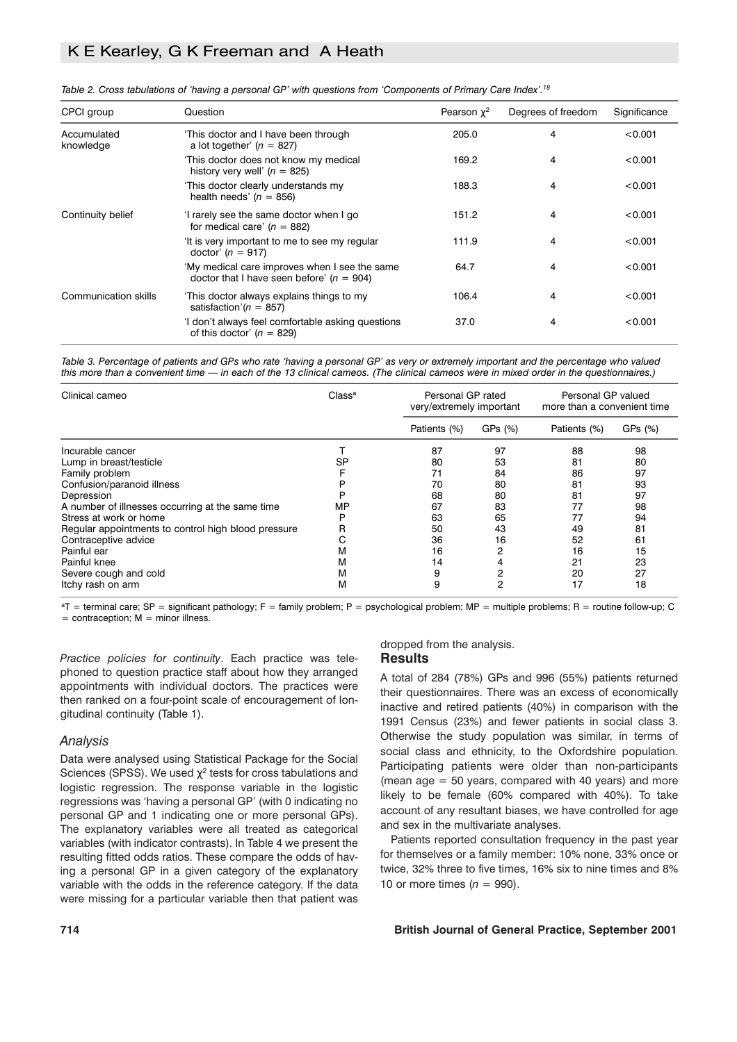# K E Kearley, G K Freeman and A Heath

| CPCI group               | Question                                                                                     | Pearson $\gamma^2$ | Degrees of freedom | Significance |
|--------------------------|----------------------------------------------------------------------------------------------|--------------------|--------------------|--------------|
| Accumulated<br>knowledge | 'This doctor and I have been through<br>a lot together' $(n = 827)$                          | 205.0              | 4                  | < 0.001      |
|                          | 'This doctor does not know my medical<br>history very well' ( $n = 825$ )                    | 169.2              | 4                  | < 0.001      |
|                          | 'This doctor clearly understands my<br>health needs' $(n = 856)$                             | 188.3              | 4                  | < 0.001      |
| Continuity belief        | 'I rarely see the same doctor when I go<br>for medical care' $(n = 882)$                     | 151.2              | 4                  | < 0.001      |
|                          | 'It is very important to me to see my regular<br>doctor' $(n = 917)$                         | 111.9              | 4                  | < 0.001      |
|                          | 'My medical care improves when I see the same<br>doctor that I have seen before' $(n = 904)$ | 64.7               | 4                  | < 0.001      |
| Communication skills     | 'This doctor always explains things to my<br>satisfaction'( $n = 857$ )                      | 106.4              | 4                  | < 0.001      |
|                          | 'I don't always feel comfortable asking questions<br>of this doctor' $(n = 829)$             | 37.0               | 4                  | < 0.001      |

*Table 2. Cross tabulations of 'having a personal GP' with questions from 'Components of Primary Care Index'.18*

*Table 3. Percentage of patients and GPs who rate 'having a personal GP' as very or extremely important and the percentage who valued this more than a convenient time — in each of the 13 clinical cameos. (The clinical cameos were in mixed order in the questionnaires.)*

| Clinical cameo                                      | Class <sup>a</sup> |              | Personal GP rated<br>very/extremely important |              | Personal GP valued<br>more than a convenient time |  |
|-----------------------------------------------------|--------------------|--------------|-----------------------------------------------|--------------|---------------------------------------------------|--|
|                                                     |                    | Patients (%) | GPs (%)                                       | Patients (%) | GPs (%)                                           |  |
| Incurable cancer                                    |                    | 87           | 97                                            | 88           | 98                                                |  |
| Lump in breast/testicle                             | SP                 | 80           | 53                                            | 81           | 80                                                |  |
| Family problem                                      |                    | 71           | 84                                            | 86           | 97                                                |  |
| Confusion/paranoid illness                          |                    | 70           | 80                                            | 81           | 93                                                |  |
| Depression                                          |                    | 68           | 80                                            | 81           | 97                                                |  |
| A number of illnesses occurring at the same time    | MP                 | 67           | 83                                            | 77           | 98                                                |  |
| Stress at work or home                              | D                  | 63           | 65                                            | 77           | 94                                                |  |
| Regular appointments to control high blood pressure | R                  | 50           | 43                                            | 49           | 81                                                |  |
| Contraceptive advice                                | ⌒<br>U             | 36           | 16                                            | 52           | 61                                                |  |
| Painful ear                                         | м                  | 16           | 2                                             | 16           | 15                                                |  |
| Painful knee                                        | м                  | 14           |                                               | 21           | 23                                                |  |
| Severe cough and cold                               | м                  | 9            | 2                                             | 20           | 27                                                |  |
| Itchy rash on arm                                   | м                  | 9            | 2                                             | 17           | 18                                                |  |

 $aT$  = terminal care; SP = significant pathology; F = family problem; P = psychological problem; MP = multiple problems; R = routine follow-up; C  $=$  contraception;  $M =$  minor illness.

*Practice policies for continuity*. Each practice was telephoned to question practice staff about how they arranged appointments with individual doctors. The practices were then ranked on a four-point scale of encouragement of longitudinal continuity (Table 1).

## *Analysis*

Data were analysed using Statistical Package for the Social Sciences (SPSS). We used  $\chi^2$  tests for cross tabulations and logistic regression. The response variable in the logistic regressions was 'having a personal GP' (with 0 indicating no personal GP and 1 indicating one or more personal GPs). The explanatory variables were all treated as categorical variables (with indicator contrasts). In Table 4 we present the resulting fitted odds ratios. These compare the odds of having a personal GP in a given category of the explanatory variable with the odds in the reference category. If the data were missing for a particular variable then that patient was

## **Results**

dropped from the analysis.

A total of 284 (78%) GPs and 996 (55%) patients returned their questionnaires. There was an excess of economically inactive and retired patients (40%) in comparison with the 1991 Census (23%) and fewer patients in social class 3. Otherwise the study population was similar, in terms of social class and ethnicity, to the Oxfordshire population. Participating patients were older than non-participants (mean  $age = 50$  years, compared with 40 years) and more likely to be female (60% compared with 40%). To take account of any resultant biases, we have controlled for age and sex in the multivariate analyses.

Patients reported consultation frequency in the past year for themselves or a family member: 10% none, 33% once or twice, 32% three to five times, 16% six to nine times and 8% 10 or more times  $(n = 990)$ .

#### **714 British Journal of General Practice, September 2001**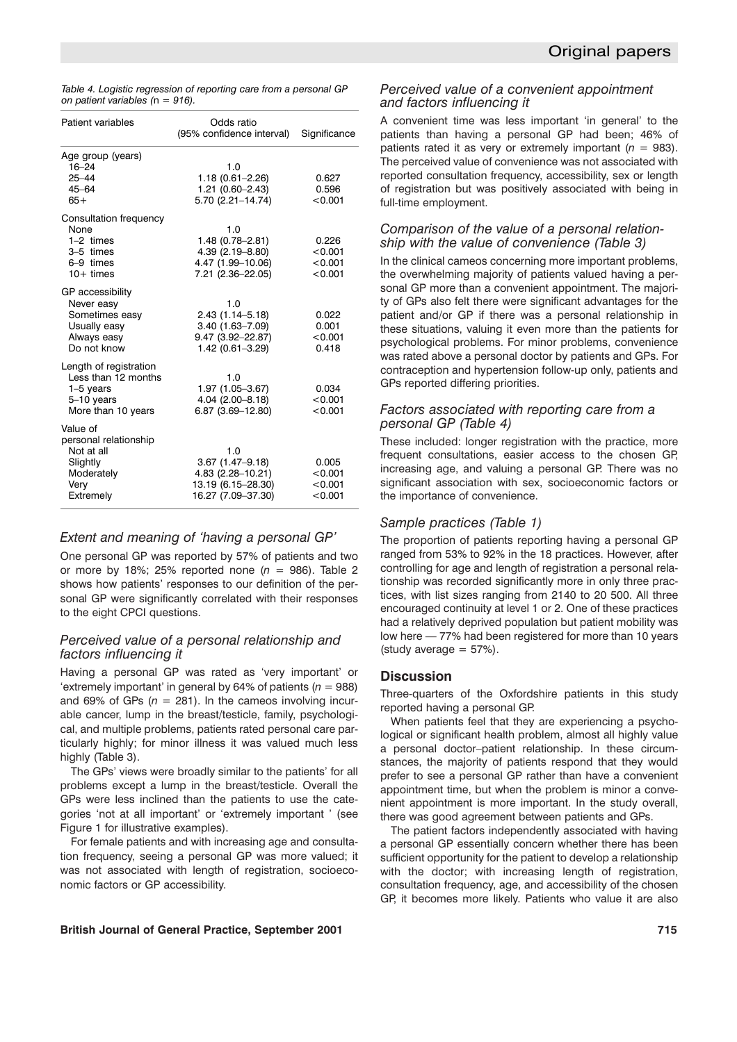*Table 4. Logistic regression of reporting care from a personal GP on patient variables (*n *= 916).*

| Patient variables                                                                                  | Odds ratio<br>(95% confidence interval)                                                        | Significance                           |
|----------------------------------------------------------------------------------------------------|------------------------------------------------------------------------------------------------|----------------------------------------|
| Age group (years)<br>$16 - 24$<br>$25 - 44$<br>$45 - 64$<br>$65+$                                  | 1.0<br>$1.18(0.61 - 2.26)$<br>$1.21(0.60 - 2.43)$<br>5.70 (2.21-14.74)                         | 0.627<br>0.596<br>< 0.001              |
| Consultation frequency<br>None<br>$1-2$ times<br>3-5 times<br>6-9 times<br>$10+$ times             | 1.0<br>$1.48(0.78 - 2.81)$<br>$4.39(2.19 - 8.80)$<br>4.47 (1.99–10.06)<br>7.21 (2.36-22.05)    | 0.226<br>< 0.001<br>< 0.001<br>< 0.001 |
| GP accessibility<br>Never easy<br>Sometimes easy<br>Usually easy<br>Always easy<br>Do not know     | 1.0<br>$2.43(1.14 - 5.18)$<br>$3.40(1.63 - 7.09)$<br>$9.47(3.92 - 22.87)$<br>1.42 (0.61-3.29)  | 0.022<br>0.001<br>< 0.001<br>0.418     |
| Length of registration<br>Less than 12 months<br>$1-5$ years<br>$5-10$ years<br>More than 10 years | 1.0<br>1.97 (1.05-3.67)<br>$4.04(2.00 - 8.18)$<br>6.87 (3.69-12.80)                            | 0.034<br>< 0.001<br>< 0.001            |
| Value of<br>personal relationship<br>Not at all<br>Slightly<br>Moderately<br>Very<br>Extremely     | 1.0<br>$3.67(1.47 - 9.18)$<br>$4.83(2.28 - 10.21)$<br>13.19 (6.15-28.30)<br>16.27 (7.09-37.30) | 0.005<br>< 0.001<br>< 0.001<br>< 0.001 |

## *Extent and meaning of 'having a personal GP'*

One personal GP was reported by 57% of patients and two or more by 18%; 25% reported none  $(n = 986)$ . Table 2 shows how patients' responses to our definition of the personal GP were significantly correlated with their responses to the eight CPCI questions.

## *Perceived value of a personal relationship and factors influencing it*

Having a personal GP was rated as 'very important' or 'extremely important' in general by 64% of patients  $(n = 988)$ and 69% of GPs  $(n = 281)$ . In the cameos involving incurable cancer, lump in the breast/testicle, family, psychological, and multiple problems, patients rated personal care particularly highly; for minor illness it was valued much less highly (Table 3).

The GPs' views were broadly similar to the patients' for all problems except a lump in the breast/testicle. Overall the GPs were less inclined than the patients to use the categories 'not at all important' or 'extremely important ' (see Figure 1 for illustrative examples).

For female patients and with increasing age and consultation frequency, seeing a personal GP was more valued; it was not associated with length of registration, socioeconomic factors or GP accessibility.

## *Perceived value of a convenient appointment and factors influencing it*

A convenient time was less important 'in general' to the patients than having a personal GP had been; 46% of patients rated it as very or extremely important  $(n = 983)$ . The perceived value of convenience was not associated with reported consultation frequency, accessibility, sex or length of registration but was positively associated with being in full-time employment.

## *Comparison of the value of a personal relationship with the value of convenience (Table 3)*

In the clinical cameos concerning more important problems, the overwhelming majority of patients valued having a personal GP more than a convenient appointment. The majority of GPs also felt there were significant advantages for the patient and/or GP if there was a personal relationship in these situations, valuing it even more than the patients for psychological problems. For minor problems, convenience was rated above a personal doctor by patients and GPs. For contraception and hypertension follow-up only, patients and GPs reported differing priorities.

## *Factors associated with reporting care from a personal GP (Table 4)*

These included: longer registration with the practice, more frequent consultations, easier access to the chosen GP, increasing age, and valuing a personal GP. There was no significant association with sex, socioeconomic factors or the importance of convenience.

## *Sample practices (Table 1)*

The proportion of patients reporting having a personal GP ranged from 53% to 92% in the 18 practices. However, after controlling for age and length of registration a personal relationship was recorded significantly more in only three practices, with list sizes ranging from 2140 to 20 500. All three encouraged continuity at level 1 or 2. One of these practices had a relatively deprived population but patient mobility was low here — 77% had been registered for more than 10 years  $(\text{study average} = 57\%).$ 

## **Discussion**

Three-quarters of the Oxfordshire patients in this study reported having a personal GP.

When patients feel that they are experiencing a psychological or significant health problem, almost all highly value a personal doctor–patient relationship. In these circumstances, the majority of patients respond that they would prefer to see a personal GP rather than have a convenient appointment time, but when the problem is minor a convenient appointment is more important. In the study overall, there was good agreement between patients and GPs.

The patient factors independently associated with having a personal GP essentially concern whether there has been sufficient opportunity for the patient to develop a relationship with the doctor; with increasing length of registration, consultation frequency, age, and accessibility of the chosen GP, it becomes more likely. Patients who value it are also

### **British Journal of General Practice, September 2001 715**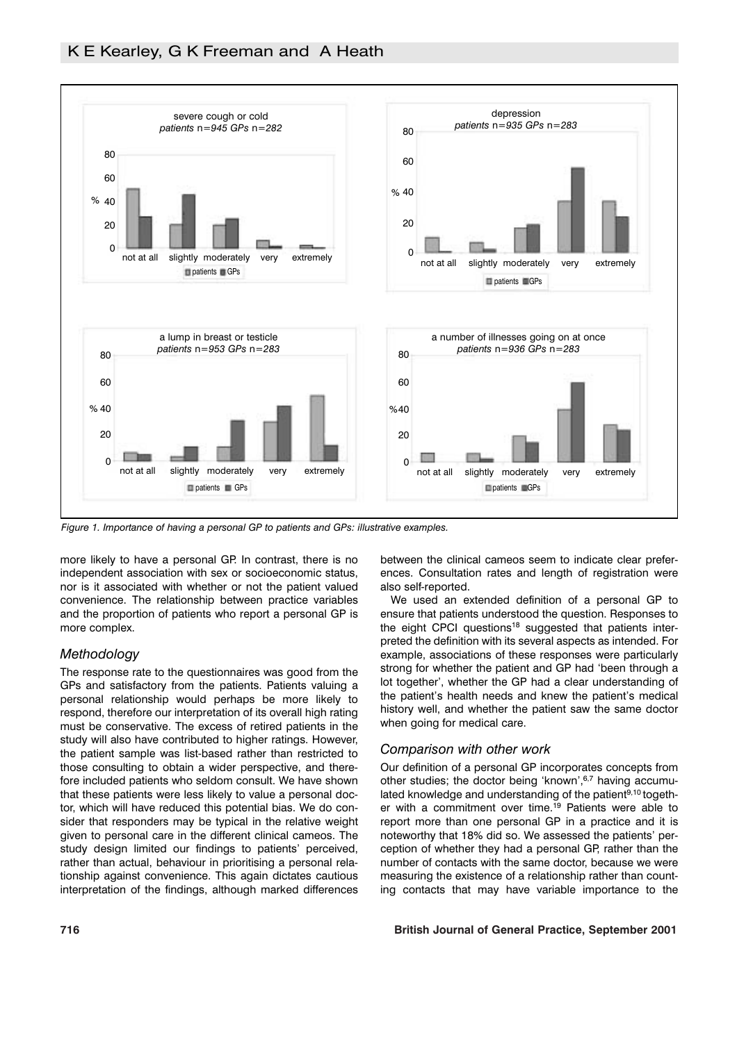

*Figure 1. Importance of having a personal GP to patients and GPs: illustrative examples.*

more likely to have a personal GP. In contrast, there is no independent association with sex or socioeconomic status, nor is it associated with whether or not the patient valued convenience. The relationship between practice variables and the proportion of patients who report a personal GP is more complex.

## *Methodology*

The response rate to the questionnaires was good from the GPs and satisfactory from the patients. Patients valuing a personal relationship would perhaps be more likely to respond, therefore our interpretation of its overall high rating must be conservative. The excess of retired patients in the study will also have contributed to higher ratings. However, the patient sample was list-based rather than restricted to those consulting to obtain a wider perspective, and therefore included patients who seldom consult. We have shown that these patients were less likely to value a personal doctor, which will have reduced this potential bias. We do consider that responders may be typical in the relative weight given to personal care in the different clinical cameos. The study design limited our findings to patients' perceived, rather than actual, behaviour in prioritising a personal relationship against convenience. This again dictates cautious interpretation of the findings, although marked differences between the clinical cameos seem to indicate clear preferences. Consultation rates and length of registration were also self-reported.

We used an extended definition of a personal GP to ensure that patients understood the question. Responses to the eight CPCI questions<sup>18</sup> suggested that patients interpreted the definition with its several aspects as intended. For example, associations of these responses were particularly strong for whether the patient and GP had 'been through a lot together', whether the GP had a clear understanding of the patient's health needs and knew the patient's medical history well, and whether the patient saw the same doctor when going for medical care.

# *Comparison with other work*

Our definition of a personal GP incorporates concepts from other studies; the doctor being 'known',<sup>6,7</sup> having accumulated knowledge and understanding of the patient<sup>9,10</sup> together with a commitment over time.<sup>19</sup> Patients were able to report more than one personal GP in a practice and it is noteworthy that 18% did so. We assessed the patients' perception of whether they had a personal GP, rather than the number of contacts with the same doctor, because we were measuring the existence of a relationship rather than counting contacts that may have variable importance to the

# **716 British Journal of General Practice, September 2001**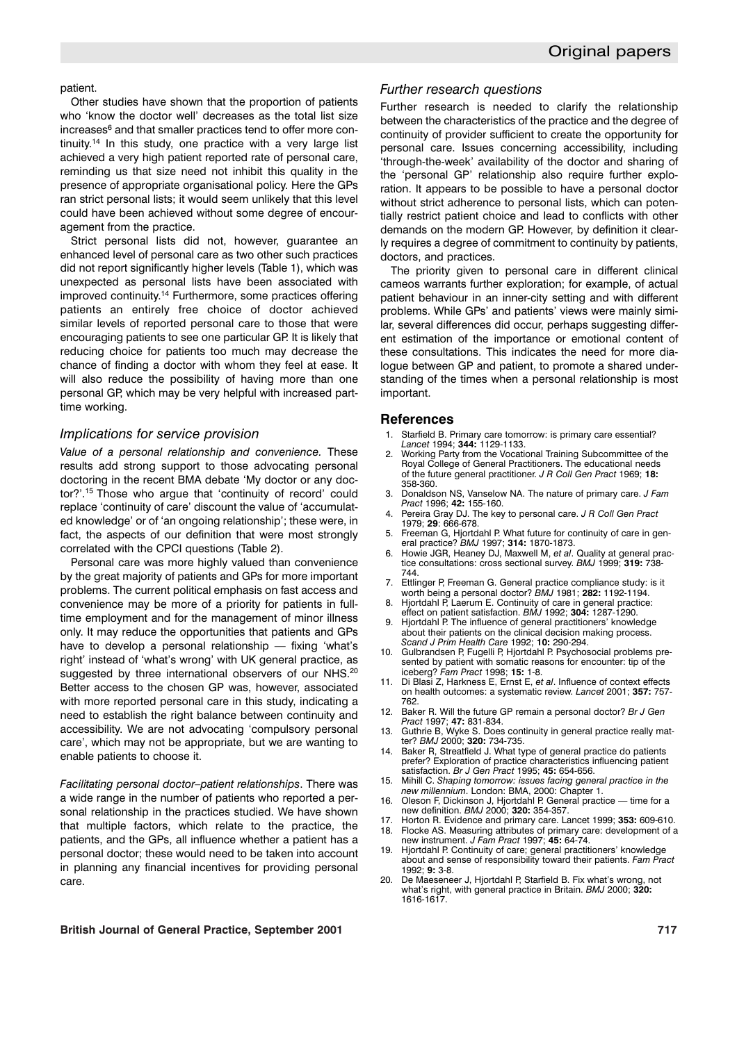#### patient.

Other studies have shown that the proportion of patients who 'know the doctor well' decreases as the total list size increases<sup>6</sup> and that smaller practices tend to offer more continuity.<sup>14</sup> In this study, one practice with a very large list achieved a very high patient reported rate of personal care, reminding us that size need not inhibit this quality in the presence of appropriate organisational policy. Here the GPs ran strict personal lists; it would seem unlikely that this level could have been achieved without some degree of encouragement from the practice.

Strict personal lists did not, however, guarantee an enhanced level of personal care as two other such practices did not report significantly higher levels (Table 1), which was unexpected as personal lists have been associated with improved continuity.14 Furthermore, some practices offering patients an entirely free choice of doctor achieved similar levels of reported personal care to those that were encouraging patients to see one particular GP. It is likely that reducing choice for patients too much may decrease the chance of finding a doctor with whom they feel at ease. It will also reduce the possibility of having more than one personal GP, which may be very helpful with increased parttime working.

## *Implications for service provision*

*Value of a personal relationship and convenience.* These results add strong support to those advocating personal doctoring in the recent BMA debate 'My doctor or any doctor?'.15 Those who argue that 'continuity of record' could replace 'continuity of care' discount the value of 'accumulated knowledge' or of 'an ongoing relationship'; these were, in fact, the aspects of our definition that were most strongly correlated with the CPCI questions (Table 2).

Personal care was more highly valued than convenience by the great majority of patients and GPs for more important problems. The current political emphasis on fast access and convenience may be more of a priority for patients in fulltime employment and for the management of minor illness only. It may reduce the opportunities that patients and GPs have to develop a personal relationship — fixing 'what's right' instead of 'what's wrong' with UK general practice, as suggested by three international observers of our NHS.<sup>20</sup> Better access to the chosen GP was, however, associated with more reported personal care in this study, indicating a need to establish the right balance between continuity and accessibility. We are not advocating 'compulsory personal care', which may not be appropriate, but we are wanting to enable patients to choose it.

*Facilitating personal doctor–patient relationships*. There was a wide range in the number of patients who reported a personal relationship in the practices studied. We have shown that multiple factors, which relate to the practice, the patients, and the GPs, all influence whether a patient has a personal doctor; these would need to be taken into account in planning any financial incentives for providing personal care.

#### *Further research questions*

Further research is needed to clarify the relationship between the characteristics of the practice and the degree of continuity of provider sufficient to create the opportunity for personal care. Issues concerning accessibility, including 'through-the-week' availability of the doctor and sharing of the 'personal GP' relationship also require further exploration. It appears to be possible to have a personal doctor without strict adherence to personal lists, which can potentially restrict patient choice and lead to conflicts with other demands on the modern GP. However, by definition it clearly requires a degree of commitment to continuity by patients, doctors, and practices.

The priority given to personal care in different clinical cameos warrants further exploration; for example, of actual patient behaviour in an inner-city setting and with different problems. While GPs' and patients' views were mainly similar, several differences did occur, perhaps suggesting different estimation of the importance or emotional content of these consultations. This indicates the need for more dialogue between GP and patient, to promote a shared understanding of the times when a personal relationship is most important.

#### **References**

- 1. Starfield B. Primary care tomorrow: is primary care essential? *Lancet* 1994; **344:** 1129-1133.
- 2. Working Party from the Vocational Training Subcommittee of the Royal College of General Practitioners. The educational needs of the future general practitioner. *J R Coll Gen Pract* 1969; **18:** 358-360.
- 3. Donaldson NS, Vanselow NA. The nature of primary care. *J Fam Pract* 1996; **42:** 155-160.
- 4. Pereira Gray DJ. The key to personal care. *J R Coll Gen Pract* 1979; **29**: 666-678.
- 5. Freeman G, Hjortdahl P. What future for continuity of care in general practice? *BMJ* 1997; **314:** 1870-1873.
- 6. Howie JGR, Heaney DJ, Maxwell M, *et al*. Quality at general practice consultations: cross sectional survey. *BMJ* 1999; **319:** 738- 744.
- 7. Ettlinger P, Freeman G. General practice compliance study: is it worth being a personal doctor? *BMJ* 1981; **282:** 1192-1194.
- 8. Hjortdahl P, Laerum E. Continuity of care in general practice:
- effect on patient satisfaction. *BMJ* 1992; **304:** 1287-1290. 9. Hjortdahl P. The influence of general practitioners' knowledge about their patients on the clinical decision making process. *Scand J Prim Health Care* 1992; **10:** 290-294.
- 10. Gulbrandsen P, Fugelli P, Hjortdahl P. Psychosocial problems presented by patient with somatic reasons for encounter: tip of the iceberg? *Fam Pract* 1998; **15:** 1-8.
- 11. Di Blasi Z, Harkness E, Ernst E, *et al*. Influence of context effects on health outcomes: a systematic review. *Lancet* 2001; **357:** 757- 762.
- 12. Baker R. Will the future GP remain a personal doctor? *Br J Gen Pract* 1997; **47:** 831-834.
- 13. Guthrie B, Wyke S. Does continuity in general practice really matter? *BMJ* 2000; **320:** 734-735.
- 14. Baker R, Streatfield J. What type of general practice do patients prefer? Exploration of practice characteristics influencing patient satisfaction. *Br J Gen Pract* 1995; **45:** 654-656.
- 15. Mihill C. *Shaping tomorrow: issues facing general practice in the new millennium*. London: BMA, 2000: Chapter 1.
- 16. Oleson F, Dickinson J, Hjortdahl P. General practice time for a new definition. *BMJ* 2000; **320:** 354-357.
- 17. Horton R. Evidence and primary care. Lancet 1999; **353:** 609-610. 18. Flocke AS. Measuring attributes of primary care: development of a new instrument. *J Fam Pract* 1997; **45:** 64-74.
- 19. Hjortdahl P. Continuity of care; general practitioners' knowledge about and sense of responsibility toward their patients. *Fam Pract* 1992; **9:** 3-8.
- 20. De Maeseneer J, Hjortdahl P, Starfield B. Fix what's wrong, not what's right, with general practice in Britain. *BMJ* 2000; **320:** 1616-1617.

### **British Journal of General Practice, September 2001 717**